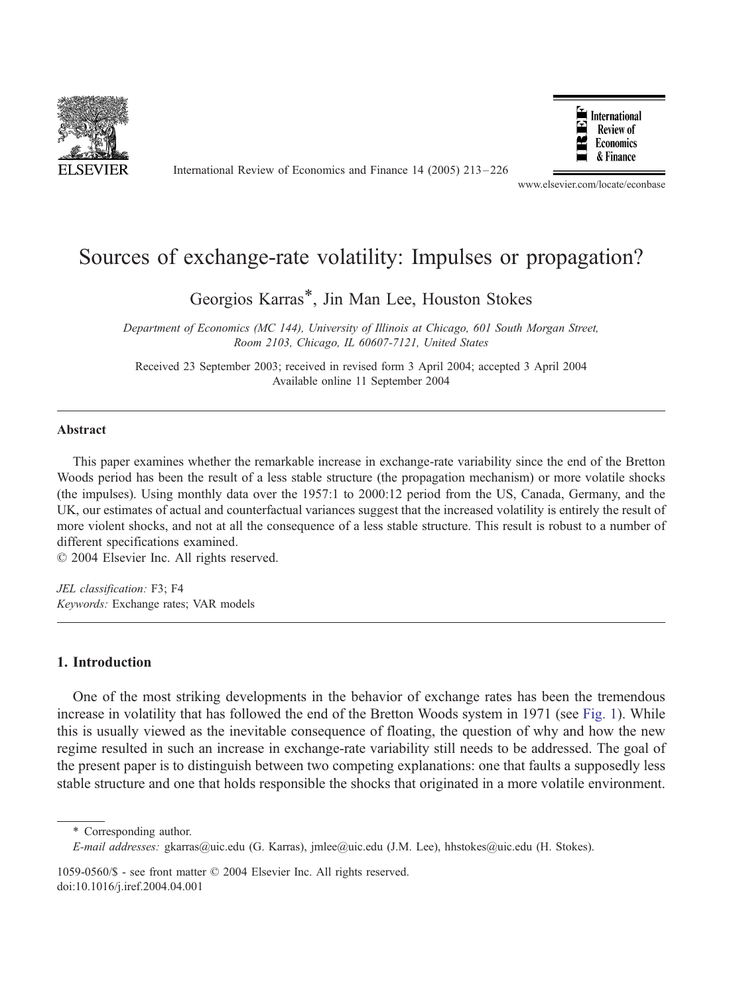

International Review of Economics and Finance 14 (2005) 213 – 226



www.elsevier.com/locate/econbase

## Sources of exchange-rate volatility: Impulses or propagation?

Georgios Karras\*, Jin Man Lee, Houston Stokes

Department of Economics (MC 144), University of Illinois at Chicago, 601 South Morgan Street, Room 2103, Chicago, IL 60607-7121, United States

Received 23 September 2003; received in revised form 3 April 2004; accepted 3 April 2004 Available online 11 September 2004

## Abstract

This paper examines whether the remarkable increase in exchange-rate variability since the end of the Bretton Woods period has been the result of a less stable structure (the propagation mechanism) or more volatile shocks (the impulses). Using monthly data over the 1957:1 to 2000:12 period from the US, Canada, Germany, and the UK, our estimates of actual and counterfactual variances suggest that the increased volatility is entirely the result of more violent shocks, and not at all the consequence of a less stable structure. This result is robust to a number of different specifications examined.

 $© 2004 Elsevier Inc. All rights reserved.$ 

JEL classification: F3; F4 Keywords: Exchange rates; VAR models

## 1. Introduction

One of the most striking developments in the behavior of exchange rates has been the tremendous increase in volatility that has followed the end of the Bretton Woods system in 1971 (see [Fig. 1\)](#page-1-0). While this is usually viewed as the inevitable consequence of floating, the question of why and how the new regime resulted in such an increase in exchange-rate variability still needs to be addressed. The goal of the present paper is to distinguish between two competing explanations: one that faults a supposedly less stable structure and one that holds responsible the shocks that originated in a more volatile environment.

<sup>\*</sup> Corresponding author.

E-mail addresses: gkarras@uic.edu (G. Karras), jmlee@uic.edu (J.M. Lee), hhstokes@uic.edu (H. Stokes).

<sup>1059-0560/\$ -</sup> see front matter © 2004 Elsevier Inc. All rights reserved. doi:10.1016/j.iref.2004.04.001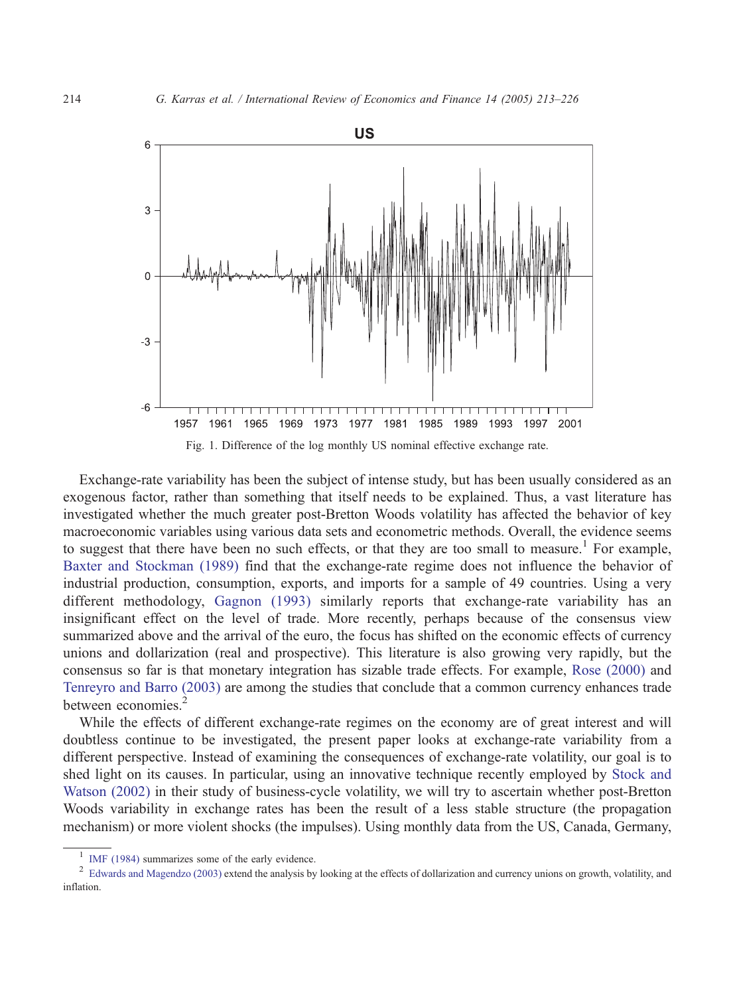<span id="page-1-0"></span>

Exchange-rate variability has been the subject of intense study, but has been usually considered as an exogenous factor, rather than something that itself needs to be explained. Thus, a vast literature has investigated whether the much greater post-Bretton Woods volatility has affected the behavior of key macroeconomic variables using various data sets and econometric methods. Overall, the evidence seems to suggest that there have been no such effects, or that they are too small to measure.<sup>1</sup> For example, [Baxter and Stockman \(1989\)](#page--1-0) find that the exchange-rate regime does not influence the behavior of industrial production, consumption, exports, and imports for a sample of 49 countries. Using a very different methodology, [Gagnon \(1993\)](#page--1-0) similarly reports that exchange-rate variability has an insignificant effect on the level of trade. More recently, perhaps because of the consensus view summarized above and the arrival of the euro, the focus has shifted on the economic effects of currency unions and dollarization (real and prospective). This literature is also growing very rapidly, but the consensus so far is that monetary integration has sizable trade effects. For example, [Rose \(2000\)](#page--1-0) and [Tenreyro and Barro \(2003\)](#page--1-0) are among the studies that conclude that a common currency enhances trade between economies.

While the effects of different exchange-rate regimes on the economy are of great interest and will doubtless continue to be investigated, the present paper looks at exchange-rate variability from a different perspective. Instead of examining the consequences of exchange-rate volatility, our goal is to shed light on its causes. In particular, using an innovative technique recently employed by [Stock and](#page--1-0) Watson (2002) in their study of business-cycle volatility, we will try to ascertain whether post-Bretton Woods variability in exchange rates has been the result of a less stable structure (the propagation mechanism) or more violent shocks (the impulses). Using monthly data from the US, Canada, Germany,

<sup>&</sup>lt;sup>1</sup> [IMF \(1984\)](#page--1-0) summarizes some of the early evidence. <sup>2</sup> Edwards and Currency unions on growth, volatility, and <sup>2</sup> [Edwards and Magendzo \(2003\)](#page--1-0) extend the analysis by looking at the effects of dollarization and currency inflation.